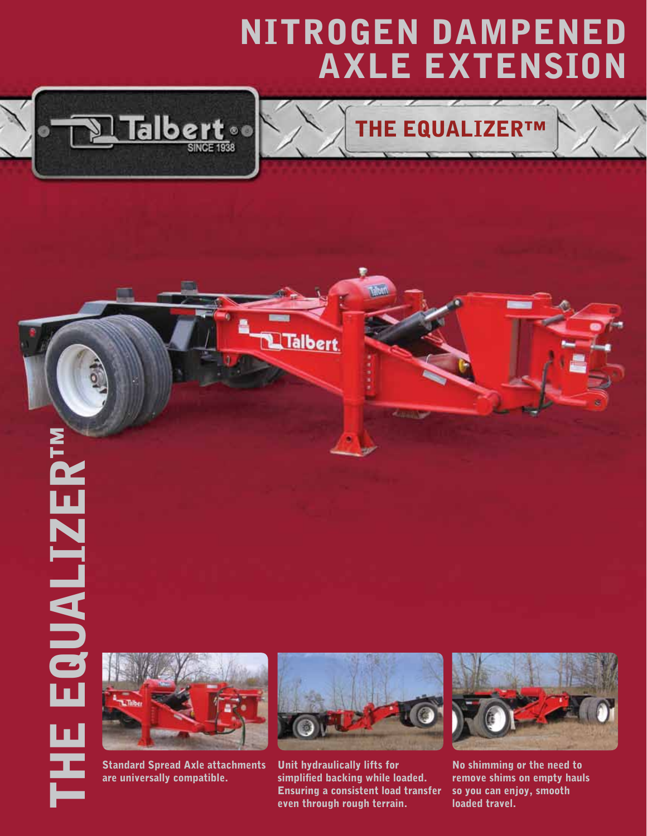## Nitrogen Dampened Axle Extension



## THE EQUALIZER™



Standard Spread Axle attachments are universally compatible.



Talbert

Unit hydraulically lifts for simplified backing while loaded. Ensuring a consistent load transfer even through rough terrain.



No shimming or the need to remove shims on empty hauls so you can enjoy, smooth loaded travel.